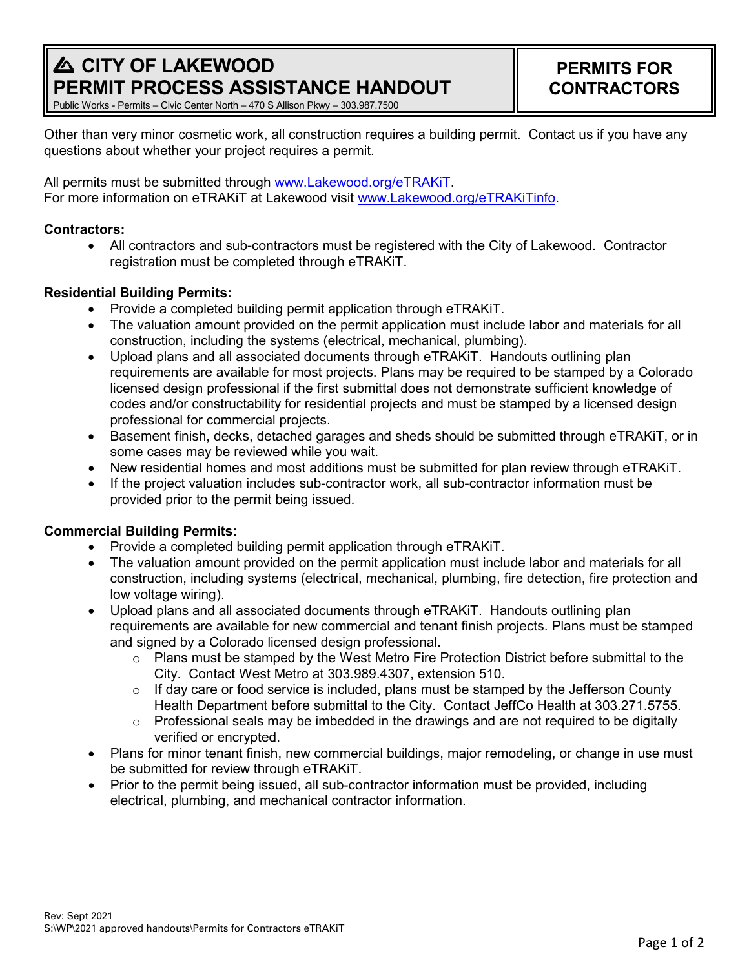# **A CITY OF LAKEWOOD PERMIT PROCESS ASSISTANCE HANDOUT**

Public Works - Permits – Civic Center North – 470 S Allison Pkwy – 303.987.7500

Other than very minor cosmetic work, all construction requires a building permit. Contact us if you have any questions about whether your project requires a permit.

All permits must be submitted through [www.Lakewood.org/eTRAKiT.](http://www.lakewood.org/eTRAKiT) For more information on eTRAKiT at Lakewood visit [www.Lakewood.org/eTRAKiTinfo.](http://www.lakewood.org/eTRAKiTinfo)

### **Contractors:**

• All contractors and sub-contractors must be registered with the City of Lakewood. Contractor registration must be completed through eTRAKiT.

### **Residential Building Permits:**

- Provide a completed building permit application through eTRAKiT.
- The valuation amount provided on the permit application must include labor and materials for all construction, including the systems (electrical, mechanical, plumbing).
- Upload plans and all associated documents through eTRAKiT. Handouts outlining plan requirements are available for most projects. Plans may be required to be stamped by a Colorado licensed design professional if the first submittal does not demonstrate sufficient knowledge of codes and/or constructability for residential projects and must be stamped by a licensed design professional for commercial projects.
- Basement finish, decks, detached garages and sheds should be submitted through eTRAKiT, or in some cases may be reviewed while you wait.
- New residential homes and most additions must be submitted for plan review through eTRAKiT.
- If the project valuation includes sub-contractor work, all sub-contractor information must be provided prior to the permit being issued.

## **Commercial Building Permits:**

- Provide a completed building permit application through eTRAKiT.
- The valuation amount provided on the permit application must include labor and materials for all construction, including systems (electrical, mechanical, plumbing, fire detection, fire protection and low voltage wiring).
- Upload plans and all associated documents through eTRAKiT. Handouts outlining plan requirements are available for new commercial and tenant finish projects. Plans must be stamped and signed by a Colorado licensed design professional.
	- $\circ$  Plans must be stamped by the West Metro Fire Protection District before submittal to the City. Contact West Metro at 303.989.4307, extension 510.
	- $\circ$  If day care or food service is included, plans must be stamped by the Jefferson County Health Department before submittal to the City. Contact JeffCo Health at 303.271.5755.
	- $\circ$  Professional seals may be imbedded in the drawings and are not required to be digitally verified or encrypted.
- Plans for minor tenant finish, new commercial buildings, major remodeling, or change in use must be submitted for review through eTRAKiT.
- Prior to the permit being issued, all sub-contractor information must be provided, including electrical, plumbing, and mechanical contractor information.